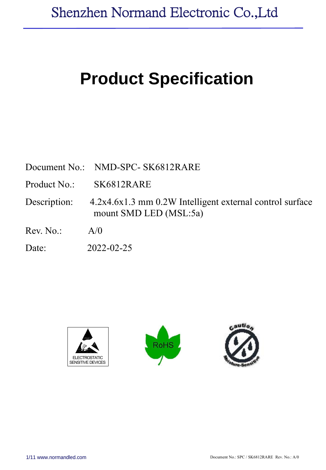# **Product Specification**

| Document No.: NMD-SPC- SK6812RARE |  |  |
|-----------------------------------|--|--|
|-----------------------------------|--|--|

Product No.: SK6812RARE

Description: 4.2x4.6x1.3 mm 0.2W Intelligent external control surface mount SMD LED (MSL:5a)

 $Rev No: A/0$ 

Date: 2022-02-25





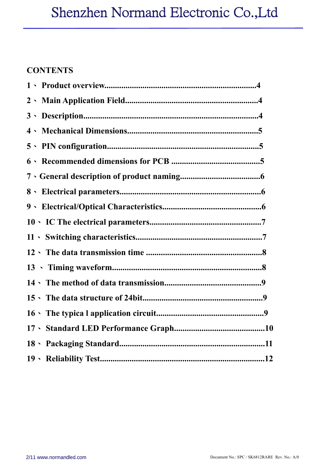## Shenzhen Normand Electronic Co.,Ltd

### **CONTENTS**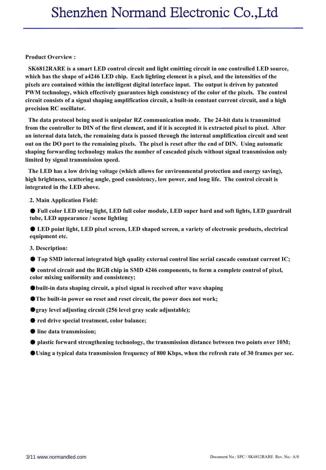#### **Product Overview :**

**SK6812RARE is a smart LED control circuit and light emitting circuit in one controlled LED source,** which has the shape of a 4246 LED chip. Each lighting element is a pixel, and the intensities of the **pixels are contained within the intelligent digital interface input. The output is driven by patented PWM technology, which effectively guarantees high consistency of the color of the pixels. The control circuit consists ofa signal shaping amplification circuit, a built-in constant current circuit, and a high precision RC oscillator.**

**The data protocol being used is unipolar RZ communication mode. The 24-bit data is transmitted** from the controller to DIN of the first element, and if it is accepted it is extracted pixel to pixel. After **an internal data latch, the remaining data is passed through the internalamplification circuit and sent** out on the DO port to the remaining pixels. The pixel is reset after the end of DIN. Using automatic **shaping forwarding technology makes the number of cascaded pixels without signal transmission only limited by signal transmission speed.**

**The LED has a low driving voltage (which allows for environmental protection and energy saving), high brightness, scattering angle, good consistency, low power, and long life. The control circuit is integrated in the LED above.**

**2. Main Application Field:**

● **Full color LED stringlight, LED full color module,LED super hard and soft lights, LED guardrail tube, LED appearance / scene lighting**

● **LED point light, LED pixel screen, LED shaped screen, a variety of electronic products, electrical equipment etc.**

**3. Description:**

● **Top SMD internal integrated high quality external control line serial cascade constant current IC;**

● **control circuit and the RGB chipin SMD 4246 components, to form a complete control of pixel, color mixing uniformity and consistency;**

●**built-in data shaping circuit, a pixel signal is received after wave shaping**

●**The built-in power on reset and reset circuit, the power does not work;**

●**gray level adjusting circuit (256 level gray scale adjustable);**

● **red drive specialtreatment, color balance;**

- **line data transmission;**
- **plastic forward strengthening technology, the transmission distance between two points over 10M;**

OUsing a typical data transmission frequency of 800 Kbps, when the refresh rate of 30 frames per sec.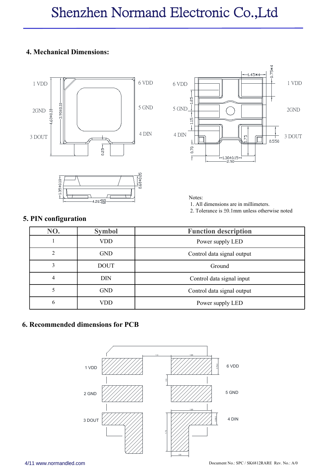#### **4. Mechanical Dimensions:**





#### **5. PIN configuration**



Notes:

- 1. All dimensions are in millimeters.
- 2. Tolerance is ±0.1mm unless otherwise noted

| NO.            | <b>Symbol</b> | <b>Function description</b> |
|----------------|---------------|-----------------------------|
|                | VDD.          | Power supply LED            |
| $\overline{c}$ | <b>GND</b>    | Control data signal output  |
|                | <b>DOUT</b>   | Ground                      |
| 4              | DIN           | Control data signal input   |
|                | <b>GND</b>    | Control data signal output  |
| 6              | VDD           | Power supply LED            |

#### **6. Recommended dimensions for PCB**

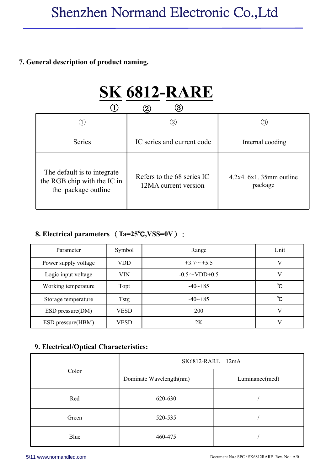#### **7. General description of product naming.**

|                                                                                   | <b>SK 6812-RARE</b>                                |                                     |
|-----------------------------------------------------------------------------------|----------------------------------------------------|-------------------------------------|
|                                                                                   | (3)<br>$\circledZ$                                 |                                     |
|                                                                                   | $\circled{2}$                                      | (3)                                 |
| <b>Series</b>                                                                     | IC series and current code                         | Internal cooding                    |
| The default is to integrate<br>the RGB chip with the IC in<br>the package outline | Refers to the 68 series IC<br>12MA current version | $4.2x4.6x1.35mm$ outline<br>package |

### **8. Electrical parameters** (**Ta=25**℃**,VSS=0V**) :

| Parameter            | Symbol      | Range                | Unit         |
|----------------------|-------------|----------------------|--------------|
| Power supply voltage | <b>VDD</b>  | $+3.7\sim+5.5$       |              |
| Logic input voltage  | <b>VIN</b>  | $-0.5 \sim$ VDD+0.5  |              |
| Working temperature  | Topt        | $-40 \rightarrow 85$ | $^{\circ}$ C |
| Storage temperature  | Tstg        | $-40 \rightarrow 85$ | $^{\circ}$ C |
| ESD pressure(DM)     | <b>VESD</b> | 200                  |              |
| ESD pressure(HBM)    | <b>VESD</b> | 2K                   |              |

#### **9. Electrical/Optical Characteristics:**

|       | SK6812-RARE 12mA        |                |
|-------|-------------------------|----------------|
| Color | Dominate Wavelength(nm) | Luminance(mcd) |
| Red   | 620-630                 |                |
| Green | 520-535                 |                |
| Blue  | 460-475                 |                |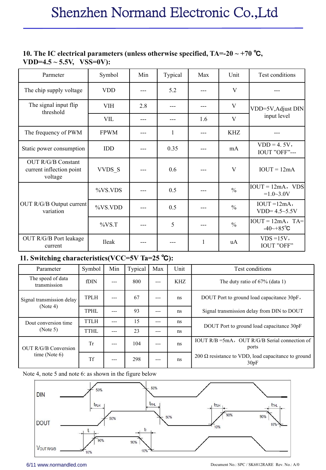#### **10. The IC electrical parameters (unless otherwise specified, TA=-20 ~ +70** ℃**, VDD=4.5 ~ 5.5V, VSS=0V):**

| Parmeter                                                         | Symbol       | Min               | Typical | Max               | Unit          | Test conditions                                       |
|------------------------------------------------------------------|--------------|-------------------|---------|-------------------|---------------|-------------------------------------------------------|
| The chip supply voltage                                          | <b>VDD</b>   | $\qquad \qquad -$ | 5.2     | $---$             | V             | ---                                                   |
| The signal input flip<br>threshold                               | <b>VIH</b>   | 2.8               | $---$   | $---$             | $\mathbf V$   | VDD=5V, Adjust DIN                                    |
|                                                                  | <b>VIL</b>   | $---$             | $---$   | 1.6               | $\mathbf{V}$  | input level                                           |
| The frequency of PWM                                             | <b>FPWM</b>  | $\qquad \qquad -$ | 1       | $\qquad \qquad -$ | <b>KHZ</b>    | ---                                                   |
| Static power consumption                                         | <b>IDD</b>   | $---$             | 0.35    | $---$             | mA            | $VDD = 4.5V,$<br>IOUT "OFF"---                        |
| <b>OUT R/G/B Constant</b><br>current inflection point<br>voltage | VVDS S       | $\qquad \qquad -$ | 0.6     | $\qquad \qquad -$ | V             | $IOUT = 12mA$                                         |
|                                                                  | %VS.VDS      | $---$             | 0.5     | $---$             | $\frac{0}{0}$ | $IOUT = 12mA$ , VDS<br>$=1.0-3.0V$                    |
| OUT R/G/B Output current<br>variation                            | %VS.VDD      | $---$             | 0.5     | $---$             | $\frac{0}{0}$ | $IOUT = 12mA,$<br>$VDD = 4.5 - 5.5V$                  |
|                                                                  | $\%VS.T$     | $---$             | 5       | $---$             | $\frac{0}{0}$ | $IOUT = 12mA$ , TA=<br>$-40 \rightarrow +85^{\circ}C$ |
| OUT R/G/B Port leakage<br>current                                | <b>Ileak</b> | $\qquad \qquad -$ | ---     |                   | uA            | $VDS = 15V$ ,<br><b>IOUT "OFF"</b>                    |

### **11. Switching characteristics(VCC=5V Ta=25** ℃**):**

| Parameter                         | Symbol      | Min   | Typical | Max   | Unit       | Test conditions                                                    |
|-----------------------------------|-------------|-------|---------|-------|------------|--------------------------------------------------------------------|
| The speed of data<br>transmission | fDIN        | $---$ | 800     | $---$ | <b>KHZ</b> | The duty ratio of $67\%$ (data 1)                                  |
| Signal transmission delay         | <b>TPLH</b> | $---$ | 67      | $---$ | ns         | DOUT Port to ground load capacitance 30pF,                         |
| (Note 4)                          | <b>TPHL</b> | $---$ | 93      | $---$ | ns         | Signal transmission delay from DIN to DOUT                         |
| Dout conversion time              | <b>TTLH</b> | $---$ | 15      | $---$ | ns         | DOUT Port to ground load capacitance 30pF                          |
| (Note 5)                          | TTHL        | $---$ | 23      | $---$ | ns         |                                                                    |
| <b>OUT R/G/B Conversion</b>       | Tr          | $---$ | 104     | $---$ | ns         | IOUT R/B = 5mA, OUT R/G/B Serial connection of<br>ports            |
| time (Note $6$ )                  | Tf          | $---$ | 298     | $---$ | ns         | 200 $\Omega$ resistance to VDD, load capacitance to ground<br>30pF |

Note 4, note 5 and note 6: as shown in the figure below

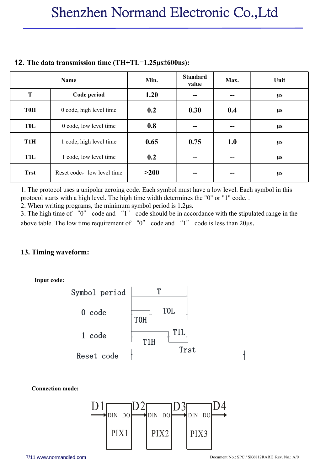|                  | Name                       | Min. | <b>Standard</b><br>value | Max.  | Unit    |
|------------------|----------------------------|------|--------------------------|-------|---------|
| T                | Code period                | 1.20 |                          | --    | $\mu s$ |
| <b>T0H</b>       | 0 code, high level time    | 0.2  | 0.30                     | 0.4   | μs      |
| <b>TOL</b>       | 0 code, low level time     | 0.8  |                          | --    | $\mu s$ |
| T <sub>1</sub> H | 1 code, high level time    | 0.65 | 0.75                     | 1.0   | $\mu s$ |
| T1L              | 1 code, low level time     | 0.2  | --                       | $- -$ | $\mu s$ |
| <b>Trst</b>      | Reset code, low level time | >200 |                          | --    | μs      |

#### **12. The data transmission time(TH+TL=1.25µs**±**600ns):**

1. The protocol uses a unipolar zeroing code. Each symbol must have a low level. Each symbol in this protocol starts with a high level. The high time width determines the "0" or "1" code. .

2. When writing programs, the minimum symbol period is  $1.2\mu$ s.<br>3. The high time of "0" code and "1" code should be in accordance with the stipulated range in the above table. The low time requirement of "0" code and "1" code is less than 20μs.

#### **13. Timing waveform:**

**Input code:**



**Connection mode:**

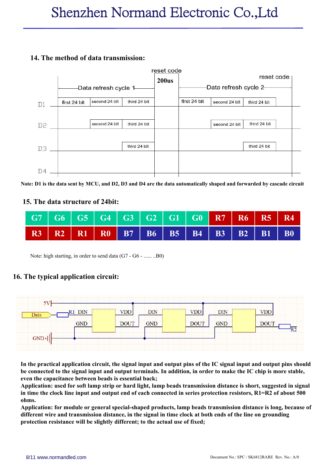#### **14. The method of data transmission:**



Note: D1 is the data sent by MCU, and D2, D3 and D4 are the data automatically shaped and forwarded by cascade circuit

#### **15. The data structure of 24bit:**

|  | R3 R2 R1 R0 B7 B6 B5 B4 B3 B2 B1 B0 |  |  |  |  |
|--|-------------------------------------|--|--|--|--|

Note: high starting, in order to send data (G7 - G6 - ...... ..B0)

#### **16. The typicalapplication circuit:**



In the practical application circuit, the signal input and output pins of the IC signal input and output pins should be connected to the signal input and output terminals. In addition, in order to make the IC chip is more stable, **even the capacitance between beads is essential back;**

Application: used for soft lamp strip or hard light, lamp beads transmission distance is short, suggested in signal in time the clock line input and output end of each connected in series protection resistors, R1=R2 of about 500 **ohms.**

**Application: for module or general special-shaped products, lamp beads transmission distance is long, because of different wire and transmission distance, in the signal in timeclock at both ends ofthe line on grounding protection resistance will be slightly different; to the actual use of fixed;**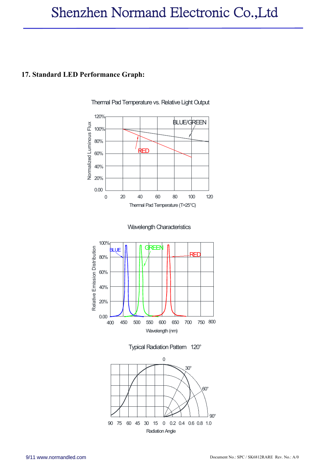## Shenzhen Normand Electronic Co.,Ltd

#### **17. Standard LED Performance Graph:**









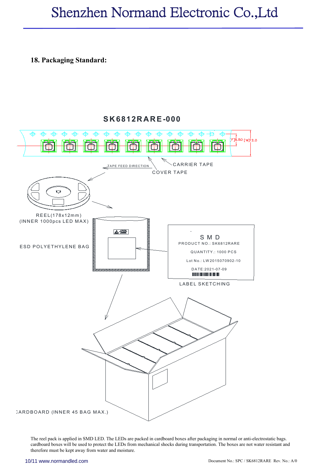## Shenzhen Normand Electronic Co.,Ltd

#### **18. Packaging Standard:**



The reel pack is applied in SMD LED. The LEDs are packed in cardboard boxes after packaging in normal or anti-electrostatic bags. cardboard boxes will be used to protect the LEDs from mechanical shocks during transportation. The boxes are not water resistant and therefore must be kept away from water and moisture.